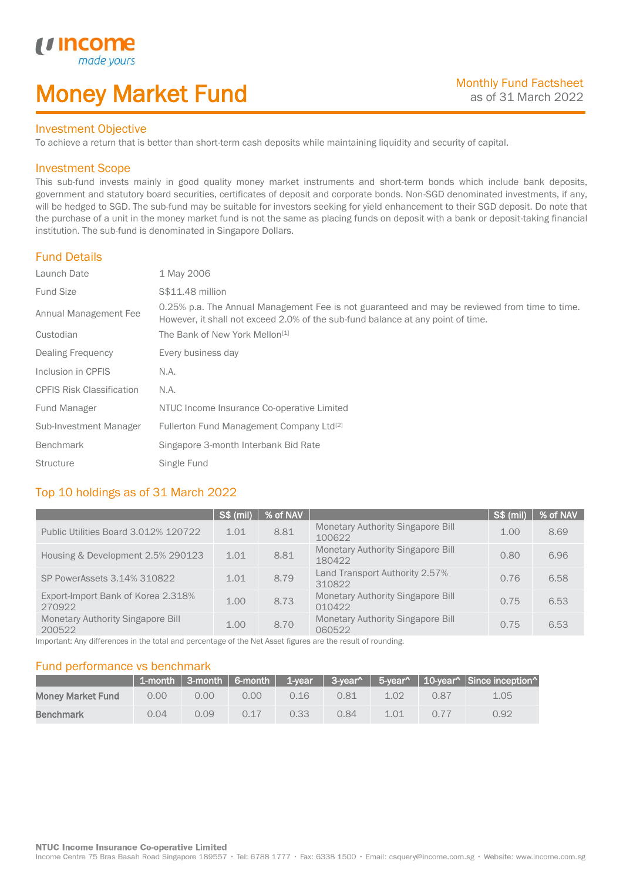# Money Market Fund

#### Investment Objective

made yo

*u* incom

I

To achieve a return that is better than short-term cash deposits while maintaining liquidity and security of capital.

#### Investment Scope

This sub-fund invests mainly in good quality money market instruments and short-term bonds which include bank deposits, government and statutory board securities, certificates of deposit and corporate bonds. Non-SGD denominated investments, if any, will be hedged to SGD. The sub-fund may be suitable for investors seeking for yield enhancement to their SGD deposit. Do note that the purchase of a unit in the money market fund is not the same as placing funds on deposit with a bank or deposit-taking financial institution. The sub-fund is denominated in Singapore Dollars.

#### Fund Details

| Launch Date                      | 1 May 2006                                                                                                                                                                       |
|----------------------------------|----------------------------------------------------------------------------------------------------------------------------------------------------------------------------------|
| <b>Fund Size</b>                 | S\$11.48 million                                                                                                                                                                 |
| Annual Management Fee            | 0.25% p.a. The Annual Management Fee is not guaranteed and may be reviewed from time to time.<br>However, it shall not exceed 2.0% of the sub-fund balance at any point of time. |
| Custodian                        | The Bank of New York Mellon <sup>[1]</sup>                                                                                                                                       |
| Dealing Frequency                | Every business day                                                                                                                                                               |
| Inclusion in CPFIS               | N.A.                                                                                                                                                                             |
| <b>CPFIS Risk Classification</b> | N.A.                                                                                                                                                                             |
| Fund Manager                     | NTUC Income Insurance Co-operative Limited                                                                                                                                       |
| Sub-Investment Manager           | Fullerton Fund Management Company Ltd <sup>[2]</sup>                                                                                                                             |
| <b>Benchmark</b>                 | Singapore 3-month Interbank Bid Rate                                                                                                                                             |
| <b>Structure</b>                 | Single Fund                                                                                                                                                                      |

### Top 10 holdings as of 31 March 2022

|                                              | S\$ (mil) | % of NAV |                                                    | <b>S\$ (mil)</b> | % of NAV |
|----------------------------------------------|-----------|----------|----------------------------------------------------|------------------|----------|
| Public Utilities Board 3.012% 120722         | 1.01      | 8.81     | <b>Monetary Authority Singapore Bill</b><br>100622 | 1.00             | 8.69     |
| Housing & Development 2.5% 290123            | 1.01      | 8.81     | <b>Monetary Authority Singapore Bill</b><br>180422 | 0.80             | 6.96     |
| SP PowerAssets 3.14% 310822                  | 1.01      | 8.79     | Land Transport Authority 2.57%<br>310822           | 0.76             | 6.58     |
| Export-Import Bank of Korea 2.318%<br>270922 | 1.00      | 8.73     | <b>Monetary Authority Singapore Bill</b><br>010422 | 0.75             | 6.53     |
| Monetary Authority Singapore Bill<br>200522  | 1.00      | 8.70     | <b>Monetary Authority Singapore Bill</b><br>060522 | 0.75             | 6.53     |

Important: Any differences in the total and percentage of the Net Asset figures are the result of rounding.

#### Fund performance vs benchmark

|                          |      |      |      |      |      |      |      | 1-month 3-month 6-month 1-year 3-year^ 5-year^ 10-year^ Since inception^ |
|--------------------------|------|------|------|------|------|------|------|--------------------------------------------------------------------------|
| <b>Money Market Fund</b> | 0.00 | 0.00 | 0.00 | 0.16 | 0.81 | 1.02 | 0.87 | 1.05                                                                     |
| <b>Benchmark</b>         | 0.04 | 0.09 | 0.17 | 0.33 | 0.84 | 1.01 | 0.77 | 0.92                                                                     |